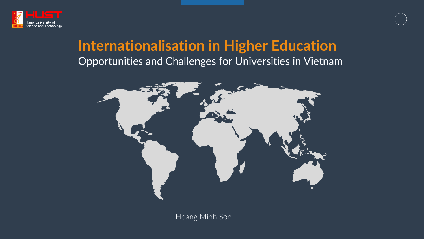

## **Internationalisation in Higher Education** Opportunities and Challenges for Universities in Vietnam





Hoang Minh Son

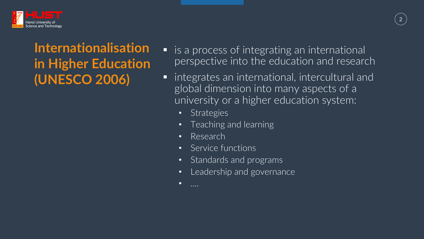

## **Internationalisation in Higher Education (UNESCO 2006)**

- is a process of integrating an international perspective into the education and research
	- § integrates an international, intercultural and global dimension into many aspects of a university or a higher education system:
		- Strategies
			- Teaching and learning
		- Research
		- Service functions
		- Standards and programs
		- Leadership and governance
		- $\bullet$  ....

# Hanoi University of Canada Chanada Channel Canada Channel Canada Channel Canada Channel Canada Channel Canada Channel Canada Channel Canada Channel Canada Channel Canada Channel Canada Channel Canada Channel Canada Channel

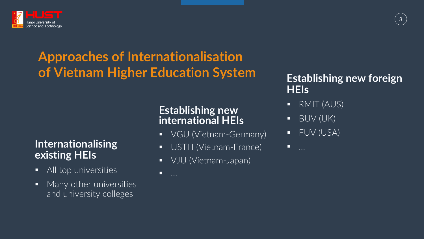

## **Approaches of Internationalisation of Vietnam Higher Education System**

### **Establishing new international HEIs**

- 
- 
- 

 $\blacksquare$ 

#### Internationalising **below that USTH (Vietnam-France) and the manufacture existing HEIs**

§ VGU (Vietnam-Germany) § VJU (Vietnam-Japan)

- **All top universities**
- **Many other universities** and university colleges

### **Establishing new foreign HEIs**

- § RMIT (AUS)
- § BUV (UK)
- § FUV (USA)

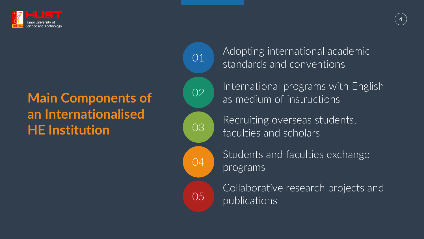

01

02 03

04

International programs with English as medium of instructions

Recruiting overseas students, faculties and scholars

Students and faculties exchange programs

Collaborative research projects and publications



## **Main Components of an Internationalised HE Institution**

05



Adopting international academic standards and conventions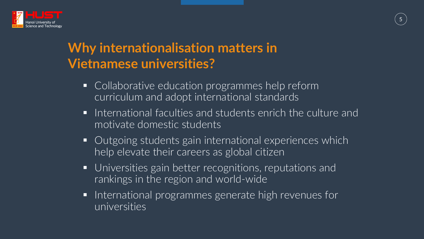

## **Why internationalisation matters in Vietnamese universities?**

- Collaborative education programmes help reform curriculum and adopt international standards
- International faculties and students enrich the culture and motivate domestic students
- Outgoing students gain international experiences which help elevate their careers as global citizen
- Universities gain better recognitions, reputations and rankings in the region and world-wide
- International programmes generate high revenues for universities

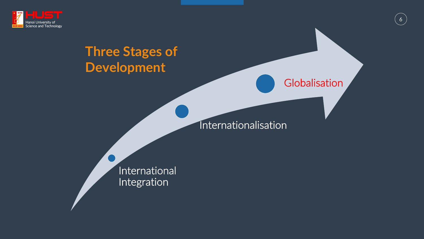

## **Three Stages of Development**

### International Integration

#### Internationalisation



### Globalisation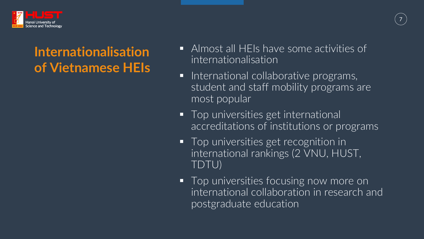

## **Internationalisation of Vietnamese HEIs**

- § Almost all HEIs have some activities of internationalisation
- **•** International collaborative programs, student and staff mobility programs are most popular



- 
- Top universities get international accreditations of institutions or programs
- Top universities get recognition in international rankings (2 VNU, HUST, TDTU) ■ Top universities focusing now more on international collaboration in research and postgraduate education
	-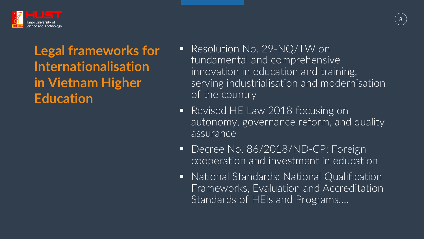

## **Legal frameworks for Internationalisation in Vietnam Higher Education**

■ Resolution No. 29-NQ/TW on fundamental and comprehensive innovation in education and training, serving industrialisation and modernisation of the country

■ Revised HE Law 2018 focusing on autonomy, governance reform, and quality assurance

■ Decree No. 86/2018/ND-CP: Foreign cooperation and investment in education

■ National Standards: National Qualification Frameworks, Evaluation and Accreditation Standards of HEIs and Programs,…

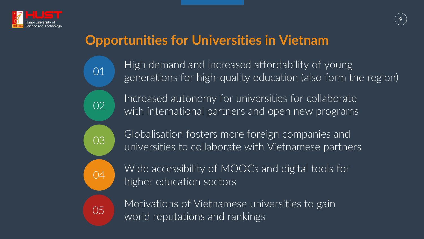

## **Opportunities for Universities in Vietnam**

01

02

03

04

- High demand and increased affordability of young generations for high-quality education (also form the region)
- Increased autonomy for universities for collaborate with international partners and open new programs
- Globalisation fosters more foreign companies and universities to collaborate with Vietnamese partners
- Wide accessibility of MOOCs and digital tools for
- Motivations of Vietnamese universities to gain



world reputations and rankings



higher education sectors

05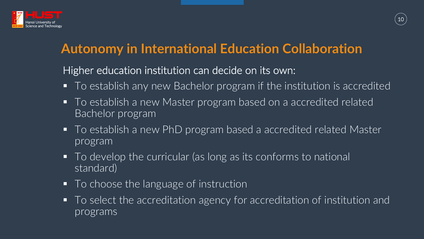

## **Autonomy in International Education Collaboration**

Higher education institution can decide on its own:

- To establish any new Bachelor program if the institution is accredited ■ To establish a new Master program based on a accredited related
- Bachelor program
- To establish a new PhD program based a accredited related Master program
- To develop the curricular (as long as its conforms to national standard)
- To choose the language of instruction
	- programs



- 
- To select the accreditation agency for accreditation of institution and

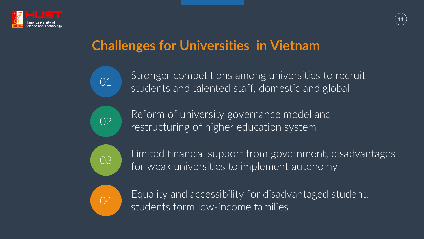

## **Challenges for Universities in Vietnam**

01 02

03

04

- Stronger competitions among universities to recruit students and talented staff, domestic and global
- Reform of university governance model and restructuring of higher education system
- Limited financial support from government, disadvantages for weak universities to implement autonomy
- Equality and accessibility for disadvantaged student, students form low-income families